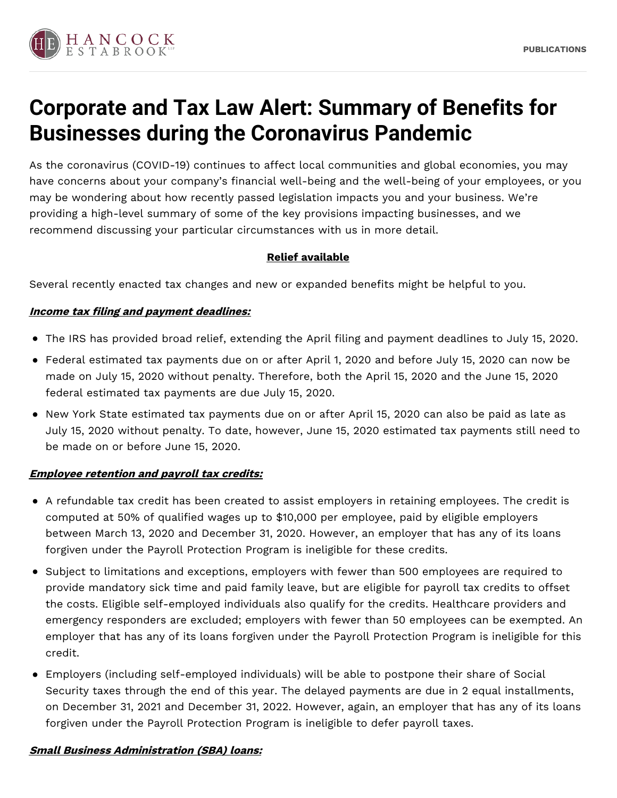

# **Corporate and Tax Law Alert: Summary of Benefits for Businesses during the Coronavirus Pandemic**

As the coronavirus (COVID-19) continues to affect local communities and global economies, you may have concerns about your company's financial well-being and the well-being of your employees, or you may be wondering about how recently passed legislation impacts you and your business. We're providing a high-level summary of some of the key provisions impacting businesses, and we recommend discussing your particular circumstances with us in more detail.

## **Relief available**

Several recently enacted tax changes and new or expanded benefits might be helpful to you.

## **Income tax filing and payment deadlines:**

- The IRS has provided broad relief, extending the April filing and payment deadlines to July 15, 2020.
- Federal estimated tax payments due on or after April 1, 2020 and before July 15, 2020 can now be made on July 15, 2020 without penalty. Therefore, both the April 15, 2020 and the June 15, 2020 federal estimated tax payments are due July 15, 2020.
- New York State estimated tax payments due on or after April 15, 2020 can also be paid as late as July 15, 2020 without penalty. To date, however, June 15, 2020 estimated tax payments still need to be made on or before June 15, 2020.

#### **Employee retention and payroll tax credits:**

- A refundable tax credit has been created to assist employers in retaining employees. The credit is computed at 50% of qualified wages up to \$10,000 per employee, paid by eligible employers between March 13, 2020 and December 31, 2020. However, an employer that has any of its loans forgiven under the Payroll Protection Program is ineligible for these credits.
- Subject to limitations and exceptions, employers with fewer than 500 employees are required to provide mandatory sick time and paid family leave, but are eligible for payroll tax credits to offset the costs. Eligible self-employed individuals also qualify for the credits. Healthcare providers and emergency responders are excluded; employers with fewer than 50 employees can be exempted. An employer that has any of its loans forgiven under the Payroll Protection Program is ineligible for this credit.
- Employers (including self-employed individuals) will be able to postpone their share of Social Security taxes through the end of this year. The delayed payments are due in 2 equal installments, on December 31, 2021 and December 31, 2022. However, again, an employer that has any of its loans forgiven under the Payroll Protection Program is ineligible to defer payroll taxes.

# **Small Business Administration (SBA) loans:**